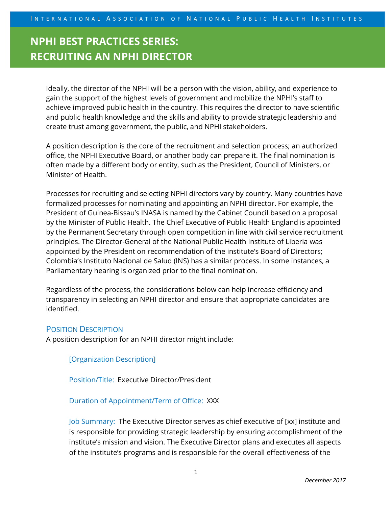# **NPHI BEST PRACTICES SERIES: RECRUITING AN NPHI DIRECTOR**

Ideally, the director of the NPHI will be a person with the vision, ability, and experience to gain the support of the highest levels of government and mobilize the NPHI's staff to achieve improved public health in the country. This requires the director to have scientific and public health knowledge and the skills and ability to provide strategic leadership and create trust among government, the public, and NPHI stakeholders.

A position description is the core of the recruitment and selection process; an authorized office, the NPHI Executive Board, or another body can prepare it. The final nomination is often made by a different body or entity, such as the President, Council of Ministers, or Minister of Health.

Processes for recruiting and selecting NPHI directors vary by country. Many countries have formalized processes for nominating and appointing an NPHI director. For example, the President of Guinea-Bissau's INASA is named by the Cabinet Council based on a proposal by the Minister of Public Health. The Chief Executive of Public Health England is appointed by the Permanent Secretary through open competition in line with civil service recruitment principles. The Director-General of the National Public Health Institute of Liberia was appointed by the President on recommendation of the institute's Board of Directors; Colombia's Instituto Nacional de Salud (INS) has a similar process. In some instances, a Parliamentary hearing is organized prior to the final nomination.

Regardless of the process, the considerations below can help increase efficiency and transparency in selecting an NPHI director and ensure that appropriate candidates are identified.

### POSITION DESCRIPTION

A position description for an NPHI director might include:

[Organization Description]

Position/Title:Executive Director/President

Duration of Appointment/Term of Office: XXX

Job Summary:The Executive Director serves as chief executive of [xx] institute and is responsible for providing strategic leadership by ensuring accomplishment of the institute's mission and vision. The Executive Director plans and executes all aspects of the institute's programs and is responsible for the overall effectiveness of the